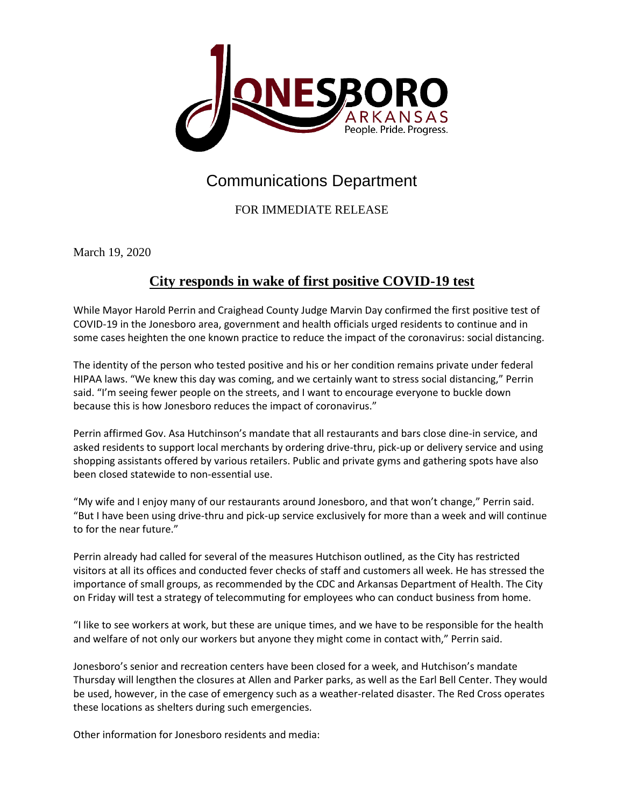

## Communications Department

FOR IMMEDIATE RELEASE

March 19, 2020

## **City responds in wake of first positive COVID-19 test**

While Mayor Harold Perrin and Craighead County Judge Marvin Day confirmed the first positive test of COVID-19 in the Jonesboro area, government and health officials urged residents to continue and in some cases heighten the one known practice to reduce the impact of the coronavirus: social distancing.

The identity of the person who tested positive and his or her condition remains private under federal HIPAA laws. "We knew this day was coming, and we certainly want to stress social distancing," Perrin said. "I'm seeing fewer people on the streets, and I want to encourage everyone to buckle down because this is how Jonesboro reduces the impact of coronavirus."

Perrin affirmed Gov. Asa Hutchinson's mandate that all restaurants and bars close dine-in service, and asked residents to support local merchants by ordering drive-thru, pick-up or delivery service and using shopping assistants offered by various retailers. Public and private gyms and gathering spots have also been closed statewide to non-essential use.

"My wife and I enjoy many of our restaurants around Jonesboro, and that won't change," Perrin said. "But I have been using drive-thru and pick-up service exclusively for more than a week and will continue to for the near future."

Perrin already had called for several of the measures Hutchison outlined, as the City has restricted visitors at all its offices and conducted fever checks of staff and customers all week. He has stressed the importance of small groups, as recommended by the CDC and Arkansas Department of Health. The City on Friday will test a strategy of telecommuting for employees who can conduct business from home.

"I like to see workers at work, but these are unique times, and we have to be responsible for the health and welfare of not only our workers but anyone they might come in contact with," Perrin said.

Jonesboro's senior and recreation centers have been closed for a week, and Hutchison's mandate Thursday will lengthen the closures at Allen and Parker parks, as well as the Earl Bell Center. They would be used, however, in the case of emergency such as a weather-related disaster. The Red Cross operates these locations as shelters during such emergencies.

Other information for Jonesboro residents and media: